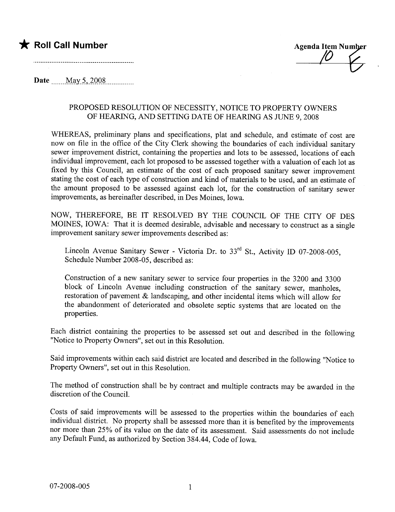### \* Roll Call Number

**Agenda Item Number** 

Date ....... .M;ly..S ...i.QQ~.. no no......

#### PROPOSED RESOLUTION OF NECESSITY, NOTICE TO PROPERTY OWNERS OF HEARING, AND SETTING DATE OF HEARING AS JUNE 9, 2008

WHEREAS, preliminary plans and specifications, plat and schedule, and estimate of cost are now on file in the office of the City Clerk showing the boundaries of each individual sanitary sewer improvement district, containing the properties and lots to be assessed, locations of each individual improvement, each lot proposed to be assessed together with a valuation of each lot as fixed by this Council, an estimate of the cost of each proposed sanitary sewer improvement stating the cost of each type of construction and kind of materials to be used, and an estimate of the amount proposed to be assessed against each lot, for the construction of sanitary sewer improvements, as hereinafter described, in Des Moines, Iowa.

NOW, THEREFORE, BE IT RESOLVED BY THE COUNCIL OF THE CITY OF DES MOINES, IOWA: That it is deemed desirable, advisable and necessary to construct as a single improvement sanitary sewer improvements described as:

Lincoln Avenue Sanitary Sewer - Victoria Dr. to  $33<sup>rd</sup>$  St., Activity ID 07-2008-005, Schedule Number 2008-05, described as:

Construction of a new sanitary sewer to service four properties in the 3200 and 3300 block of Lincoln Avenue including construction of the sanitary sewer, manholes, restoration of pavement & landscaping, and other incidental items which will allow for the abandonment of deteriorated and obsolete septic systems that are located on the properties.

Each district containing the properties to be assessed set out and described in the following "Notice to Property Owners", set out in this Resolution.

Said improvements within each said district are located and described in the following "Notice to Property Owners", set out in this Resolution.

The method of construction shall be by contract and multiple contracts may be awarded in the discretion of the CounciL.

Costs of said improvements will be assessed to the properties within the boundaries of each individual district. No property shall be assessed more than it is benefited by the improvements nor more than 25% of its value on the date of its assessment. Said assessments do not include any Default Fund, as authorized by Section 384.44, Code of Iowa.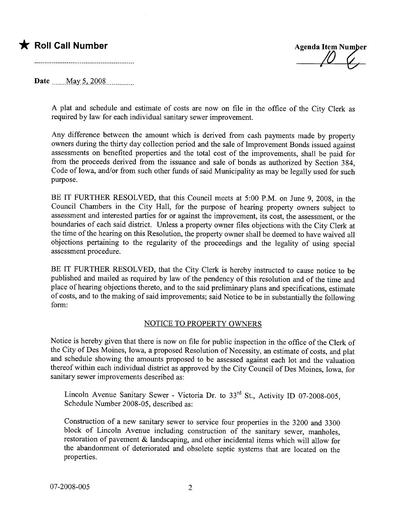## **\*** Roll Call Number Agenda Item Number

Date ........M.Ry..s...iQQ~...............

A plat and schedule and estimate of costs are now on file in the office of the City Clerk as required by law for each individual sanitary sewer improvement.

Any difference between the amount which is derived from cash payments made by property owners during the thirty day collection period and the sale of Improvement Bonds issued against assessments on benefited properties and the total cost of the improvements, shall be paid for from the proceeds derived from the issuance and sale of bonds as authorized by Section 384, Code of Iowa, and/or from such other funds of said Municipality as may be legally used for such purpose.

BE IT FURTHER RESOLVED, that this Council meets at 5:00 P.M. on June 9, 2008, in the Council Chambers in the City Hall, for the purpose of hearng property owners subject to assessment and interested parties for or against the improvement, its cost, the assessment, or the boundaries of each said district. Unless a property owner files objections with the City Clerk at the time of the hearing on this Resolution, the property owner shall be deemed to have waived all objections pertaining to the regularity of the proceedings and the legality of using special assessment procedure.

BE IT FURTHER RESOLVED, that the City Clerk is hereby instructed to cause notice to be published and mailed as required by law of the pendency of this resolution and of the time and place of hearing objections thereto, and to the said preliminary plans and specifications, estimate of costs, and to the making of said improvements; said Notice to be in substantially the following form:

#### NOTICE TO PROPERTY OWNERS

Notice is hereby given that there is now on file for public inspection in the office of the Clerk of the City of Des Moines, Iowa, a proposed Resolution of Necessity, an estimate of costs, and plat and schedule showing the amounts proposed to be assessed against each lot and the valuation thereof within each individual district as approved by the City Council of Des Moines, Iowa, for sanitary sewer improvements described as:

Lincoln Avenue Sanitary Sewer - Victoria Dr. to  $33<sup>rd</sup>$  St., Activity ID 07-2008-005, Schedule Number 2008-05, described as:

Construction of a new sanitary sewer to service four properties in the 3200 and 3300 block of Lincoln Avenue including construction of the sanitary sewer, manholes, restoration of pavement & landscaping, and other incidental items which will allow for the abandonment of deteriorated and obsolete septic systems that are located on the properties.